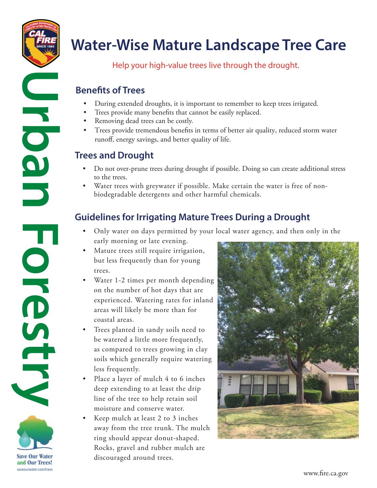

LOOI

T

OKGSTES

# **Water-Wise Mature Landscape Tree Care**

Help your high-value trees live through the drought.

## **Benefits of Trees**

- During extended droughts, it is important to remember to keep trees irrigated.
- Trees provide many benefits that cannot be easily replaced.
- Removing dead trees can be costly.
- Trees provide tremendous benefts in terms of better air quality, reduced storm water runoff, energy savings, and better quality of life.

# **Trees and Drought**

- Do not over-prune trees during drought if possible. Doing so can create additional stress to the trees.
- biodegradable detergents and other harmful chemicals. • Water trees with greywater if possible. Make certain the water is free of non-

# **Guidelines for Irrigating Mature Trees During a Drought**

- Only water on days permitted by your local water agency, and then only in the early morning or late evening.
- Mature trees still require irrigation, but less frequently than for young trees.
- Water 1-2 times per month depending on the number of hot days that are experienced. Watering rates for inland areas will likely be more than for coastal areas.
- Trees planted in sandy soils need to be watered a little more frequently, as compared to trees growing in clay soils which generally require watering less frequently.
- Place a layer of mulch 4 to 6 inches deep extending to at least the drip line of the tree to help retain soil moisture and conserve water.
- Keep mulch at least 2 to 3 inches away from the tree trunk. The mulch ring should appear donut-shaped. Rocks, gravel and rubber mulch are discouraged around trees.



**Save Our Water** and Our Trees! saveourwater.com/trees